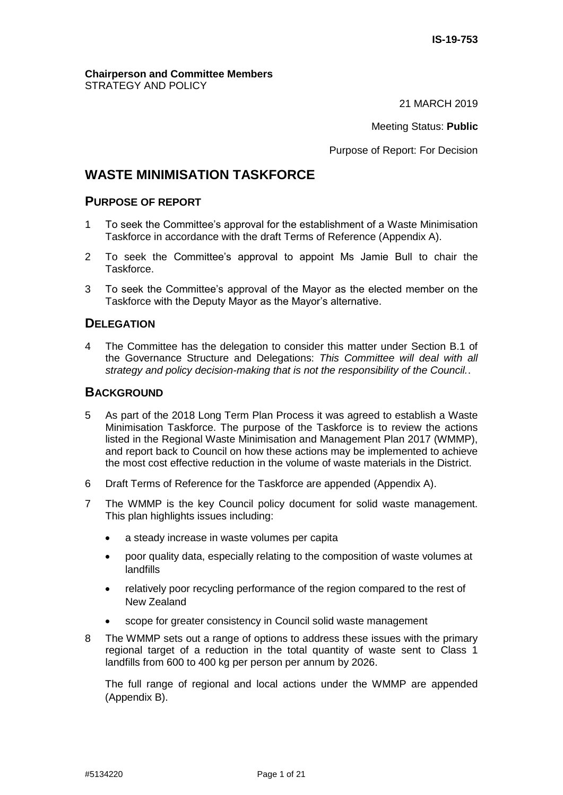#### **Chairperson and Committee Members** STRATEGY AND POLICY

21 MARCH 2019

Meeting Status: **Public**

Purpose of Report: For Decision

## **WASTE MINIMISATION TASKFORCE**

### **PURPOSE OF REPORT**

- 1 To seek the Committee's approval for the establishment of a Waste Minimisation Taskforce in accordance with the draft Terms of Reference (Appendix A).
- 2 To seek the Committee's approval to appoint Ms Jamie Bull to chair the Taskforce.
- 3 To seek the Committee's approval of the Mayor as the elected member on the Taskforce with the Deputy Mayor as the Mayor's alternative.

### **DELEGATION**

4 The Committee has the delegation to consider this matter under Section B.1 of the Governance Structure and Delegations: *This Committee will deal with all strategy and policy decision-making that is not the responsibility of the Council.*.

### **BACKGROUND**

- 5 As part of the 2018 Long Term Plan Process it was agreed to establish a Waste Minimisation Taskforce. The purpose of the Taskforce is to review the actions listed in the Regional Waste Minimisation and Management Plan 2017 (WMMP), and report back to Council on how these actions may be implemented to achieve the most cost effective reduction in the volume of waste materials in the District.
- 6 Draft Terms of Reference for the Taskforce are appended (Appendix A).
- 7 The WMMP is the key Council policy document for solid waste management. This plan highlights issues including:
	- a steady increase in waste volumes per capita
	- poor quality data, especially relating to the composition of waste volumes at landfills
	- relatively poor recycling performance of the region compared to the rest of New Zealand
	- scope for greater consistency in Council solid waste management
- 8 The WMMP sets out a range of options to address these issues with the primary regional target of a reduction in the total quantity of waste sent to Class 1 landfills from 600 to 400 kg per person per annum by 2026.

The full range of regional and local actions under the WMMP are appended (Appendix B).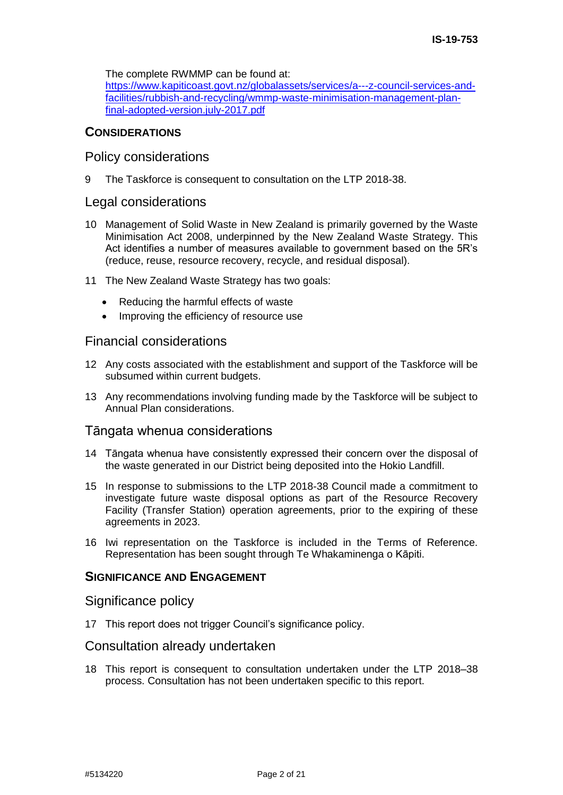The complete RWMMP can be found at:

[https://www.kapiticoast.govt.nz/globalassets/services/a---z-council-services-and](https://www.kapiticoast.govt.nz/globalassets/services/a---z-council-services-and-facilities/rubbish-and-recycling/wmmp-waste-minimisation-management-plan-final-adopted-version.july-2017.pdf)[facilities/rubbish-and-recycling/wmmp-waste-minimisation-management-plan](https://www.kapiticoast.govt.nz/globalassets/services/a---z-council-services-and-facilities/rubbish-and-recycling/wmmp-waste-minimisation-management-plan-final-adopted-version.july-2017.pdf)[final-adopted-version.july-2017.pdf](https://www.kapiticoast.govt.nz/globalassets/services/a---z-council-services-and-facilities/rubbish-and-recycling/wmmp-waste-minimisation-management-plan-final-adopted-version.july-2017.pdf)

### **CONSIDERATIONS**

### Policy considerations

9 The Taskforce is consequent to consultation on the LTP 2018-38.

### Legal considerations

- 10 Management of Solid Waste in New Zealand is primarily governed by the Waste Minimisation Act 2008, underpinned by the New Zealand Waste Strategy. This Act identifies a number of measures available to government based on the 5R's (reduce, reuse, resource recovery, recycle, and residual disposal).
- 11 The New Zealand Waste Strategy has two goals:
	- Reducing the harmful effects of waste
	- Improving the efficiency of resource use

### Financial considerations

- 12 Any costs associated with the establishment and support of the Taskforce will be subsumed within current budgets.
- 13 Any recommendations involving funding made by the Taskforce will be subject to Annual Plan considerations.

### Tāngata whenua considerations

- 14 Tāngata whenua have consistently expressed their concern over the disposal of the waste generated in our District being deposited into the Hokio Landfill.
- 15 In response to submissions to the LTP 2018-38 Council made a commitment to investigate future waste disposal options as part of the Resource Recovery Facility (Transfer Station) operation agreements, prior to the expiring of these agreements in 2023.
- 16 Iwi representation on the Taskforce is included in the Terms of Reference. Representation has been sought through Te Whakaminenga o Kāpiti.

### **SIGNIFICANCE AND ENGAGEMENT**

### Significance policy

17 This report does not trigger Council's significance policy.

### Consultation already undertaken

18 This report is consequent to consultation undertaken under the LTP 2018–38 process. Consultation has not been undertaken specific to this report.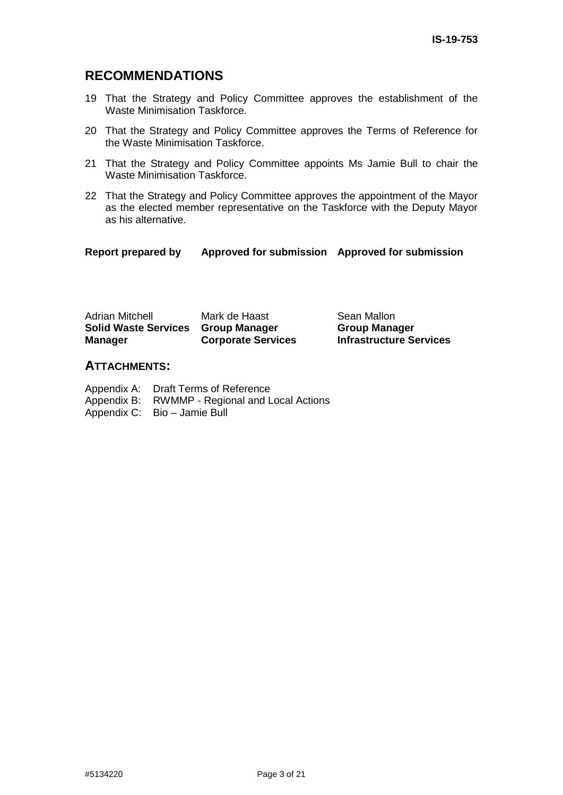## **RECOMMENDATIONS**

- 19 That the Strategy and Policy Committee approves the establishment of the Waste Minimisation Taskforce.
- 20 That the Strategy and Policy Committee approves the Terms of Reference for the Waste Minimisation Taskforce.
- 21 That the Strategy and Policy Committee appoints Ms Jamie Bull to chair the Waste Minimisation Taskforce.
- 22 That the Strategy and Policy Committee approves the appointment of the Mayor as the elected member representative on the Taskforce with the Deputy Mayor as his alternative.

### **Report prepared by Approved for submission Approved for submission**

| <b>Adrian Mitchell</b>             | Mark de Haast             |
|------------------------------------|---------------------------|
| Solid Waste Services Group Manager |                           |
| <b>Manager</b>                     | <b>Corporate Services</b> |

Sean Mallon **Group Manager Infrastructure Services**

### **ATTACHMENTS:**

| Appendix A: Draft Terms of Reference           |
|------------------------------------------------|
| Appendix B: RWMMP - Regional and Local Actions |
| Appendix C: Bio - Jamie Bull                   |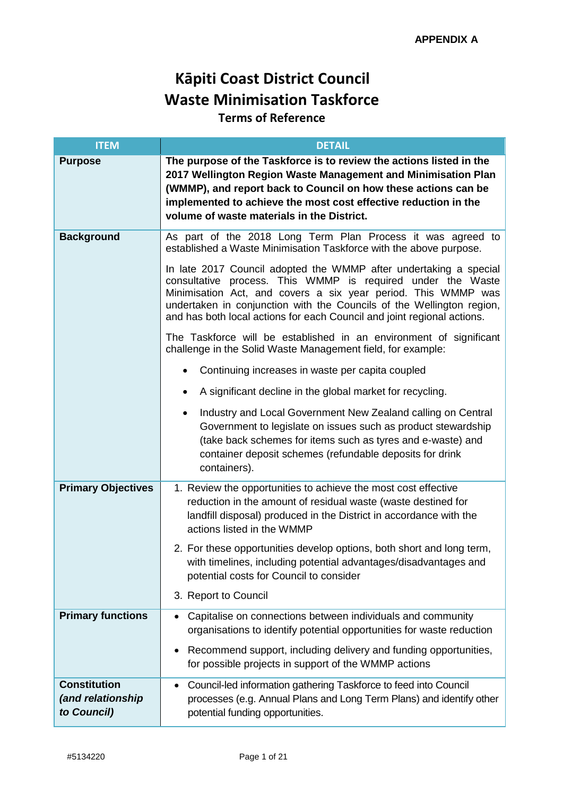# **Kāpiti Coast District Council Waste Minimisation Taskforce**

## **Terms of Reference**

| <b>ITEM</b>                                             | <b>DETAIL</b>                                                                                                                                                                                                                                                                                                                                         |
|---------------------------------------------------------|-------------------------------------------------------------------------------------------------------------------------------------------------------------------------------------------------------------------------------------------------------------------------------------------------------------------------------------------------------|
| <b>Purpose</b>                                          | The purpose of the Taskforce is to review the actions listed in the<br>2017 Wellington Region Waste Management and Minimisation Plan<br>(WMMP), and report back to Council on how these actions can be<br>implemented to achieve the most cost effective reduction in the<br>volume of waste materials in the District.                               |
| <b>Background</b>                                       | As part of the 2018 Long Term Plan Process it was agreed to<br>established a Waste Minimisation Taskforce with the above purpose.                                                                                                                                                                                                                     |
|                                                         | In late 2017 Council adopted the WMMP after undertaking a special<br>consultative process. This WMMP is required under the Waste<br>Minimisation Act, and covers a six year period. This WMMP was<br>undertaken in conjunction with the Councils of the Wellington region,<br>and has both local actions for each Council and joint regional actions. |
|                                                         | The Taskforce will be established in an environment of significant<br>challenge in the Solid Waste Management field, for example:                                                                                                                                                                                                                     |
|                                                         | Continuing increases in waste per capita coupled                                                                                                                                                                                                                                                                                                      |
|                                                         | A significant decline in the global market for recycling.                                                                                                                                                                                                                                                                                             |
|                                                         | Industry and Local Government New Zealand calling on Central<br>Government to legislate on issues such as product stewardship<br>(take back schemes for items such as tyres and e-waste) and<br>container deposit schemes (refundable deposits for drink<br>containers).                                                                              |
| <b>Primary Objectives</b>                               | 1. Review the opportunities to achieve the most cost effective<br>reduction in the amount of residual waste (waste destined for<br>landfill disposal) produced in the District in accordance with the<br>actions listed in the WMMP                                                                                                                   |
|                                                         | 2. For these opportunities develop options, both short and long term,<br>with timelines, including potential advantages/disadvantages and<br>potential costs for Council to consider                                                                                                                                                                  |
|                                                         | 3. Report to Council                                                                                                                                                                                                                                                                                                                                  |
| <b>Primary functions</b>                                | Capitalise on connections between individuals and community<br>organisations to identify potential opportunities for waste reduction                                                                                                                                                                                                                  |
|                                                         | Recommend support, including delivery and funding opportunities,<br>for possible projects in support of the WMMP actions                                                                                                                                                                                                                              |
| <b>Constitution</b><br>(and relationship<br>to Council) | Council-led information gathering Taskforce to feed into Council<br>processes (e.g. Annual Plans and Long Term Plans) and identify other<br>potential funding opportunities.                                                                                                                                                                          |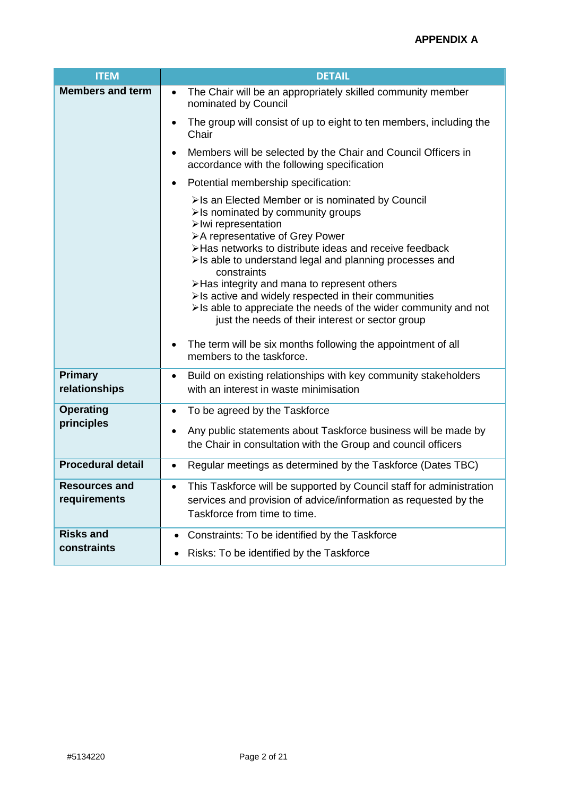| <b>ITEM</b>                          | <b>DETAIL</b>                                                                                                                                                                                                                                                                                                                                                                                                                                                                                                                                                                                                  |
|--------------------------------------|----------------------------------------------------------------------------------------------------------------------------------------------------------------------------------------------------------------------------------------------------------------------------------------------------------------------------------------------------------------------------------------------------------------------------------------------------------------------------------------------------------------------------------------------------------------------------------------------------------------|
| <b>Members and term</b>              | The Chair will be an appropriately skilled community member<br>$\bullet$<br>nominated by Council                                                                                                                                                                                                                                                                                                                                                                                                                                                                                                               |
|                                      | The group will consist of up to eight to ten members, including the<br>$\bullet$<br>Chair                                                                                                                                                                                                                                                                                                                                                                                                                                                                                                                      |
|                                      | Members will be selected by the Chair and Council Officers in<br>$\bullet$<br>accordance with the following specification                                                                                                                                                                                                                                                                                                                                                                                                                                                                                      |
|                                      | Potential membership specification:                                                                                                                                                                                                                                                                                                                                                                                                                                                                                                                                                                            |
|                                      | >Is an Elected Member or is nominated by Council<br>>Is nominated by community groups<br>>Iwi representation<br>>A representative of Grey Power<br>>Has networks to distribute ideas and receive feedback<br>>Is able to understand legal and planning processes and<br>constraints<br>>Has integrity and mana to represent others<br>>Is active and widely respected in their communities<br>>Is able to appreciate the needs of the wider community and not<br>just the needs of their interest or sector group<br>The term will be six months following the appointment of all<br>members to the taskforce. |
| <b>Primary</b><br>relationships      | Build on existing relationships with key community stakeholders<br>$\bullet$<br>with an interest in waste minimisation                                                                                                                                                                                                                                                                                                                                                                                                                                                                                         |
| <b>Operating</b>                     | To be agreed by the Taskforce<br>$\bullet$                                                                                                                                                                                                                                                                                                                                                                                                                                                                                                                                                                     |
| principles                           | Any public statements about Taskforce business will be made by<br>the Chair in consultation with the Group and council officers                                                                                                                                                                                                                                                                                                                                                                                                                                                                                |
| <b>Procedural detail</b>             | Regular meetings as determined by the Taskforce (Dates TBC)<br>$\bullet$                                                                                                                                                                                                                                                                                                                                                                                                                                                                                                                                       |
| <b>Resources and</b><br>requirements | This Taskforce will be supported by Council staff for administration<br>$\bullet$<br>services and provision of advice/information as requested by the<br>Taskforce from time to time.                                                                                                                                                                                                                                                                                                                                                                                                                          |
| <b>Risks and</b>                     | Constraints: To be identified by the Taskforce<br>$\bullet$                                                                                                                                                                                                                                                                                                                                                                                                                                                                                                                                                    |
| constraints                          | • Risks: To be identified by the Taskforce                                                                                                                                                                                                                                                                                                                                                                                                                                                                                                                                                                     |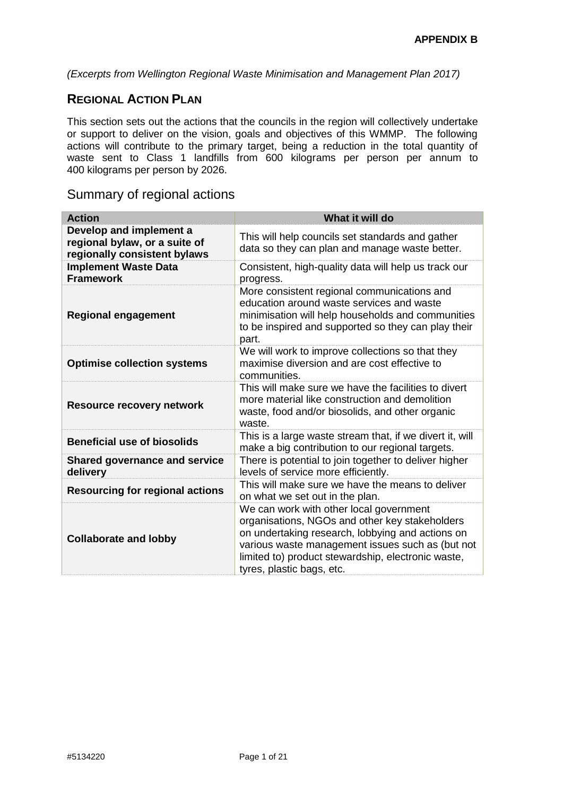*(Excerpts from Wellington Regional Waste Minimisation and Management Plan 2017)*

### **REGIONAL ACTION PLAN**

This section sets out the actions that the councils in the region will collectively undertake or support to deliver on the vision, goals and objectives of this WMMP. The following actions will contribute to the primary target, being a reduction in the total quantity of waste sent to Class 1 landfills from 600 kilograms per person per annum to 400 kilograms per person by 2026.

## Summary of regional actions

| <b>Action</b>                                                                            | What it will do                                                                                                                                                                                                                                                                      |
|------------------------------------------------------------------------------------------|--------------------------------------------------------------------------------------------------------------------------------------------------------------------------------------------------------------------------------------------------------------------------------------|
| Develop and implement a<br>regional bylaw, or a suite of<br>regionally consistent bylaws | This will help councils set standards and gather<br>data so they can plan and manage waste better.                                                                                                                                                                                   |
| <b>Implement Waste Data</b><br><b>Framework</b>                                          | Consistent, high-quality data will help us track our<br>progress.                                                                                                                                                                                                                    |
| <b>Regional engagement</b>                                                               | More consistent regional communications and<br>education around waste services and waste<br>minimisation will help households and communities<br>to be inspired and supported so they can play their<br>part.                                                                        |
| <b>Optimise collection systems</b>                                                       | We will work to improve collections so that they<br>maximise diversion and are cost effective to<br>communities.                                                                                                                                                                     |
| <b>Resource recovery network</b>                                                         | This will make sure we have the facilities to divert<br>more material like construction and demolition<br>waste, food and/or biosolids, and other organic<br>waste.                                                                                                                  |
| <b>Beneficial use of biosolids</b>                                                       | This is a large waste stream that, if we divert it, will<br>make a big contribution to our regional targets.                                                                                                                                                                         |
| <b>Shared governance and service</b><br>delivery                                         | There is potential to join together to deliver higher<br>levels of service more efficiently.                                                                                                                                                                                         |
| <b>Resourcing for regional actions</b>                                                   | This will make sure we have the means to deliver<br>on what we set out in the plan.                                                                                                                                                                                                  |
| <b>Collaborate and lobby</b>                                                             | We can work with other local government<br>organisations, NGOs and other key stakeholders<br>on undertaking research, lobbying and actions on<br>various waste management issues such as (but not<br>limited to) product stewardship, electronic waste,<br>tyres, plastic bags, etc. |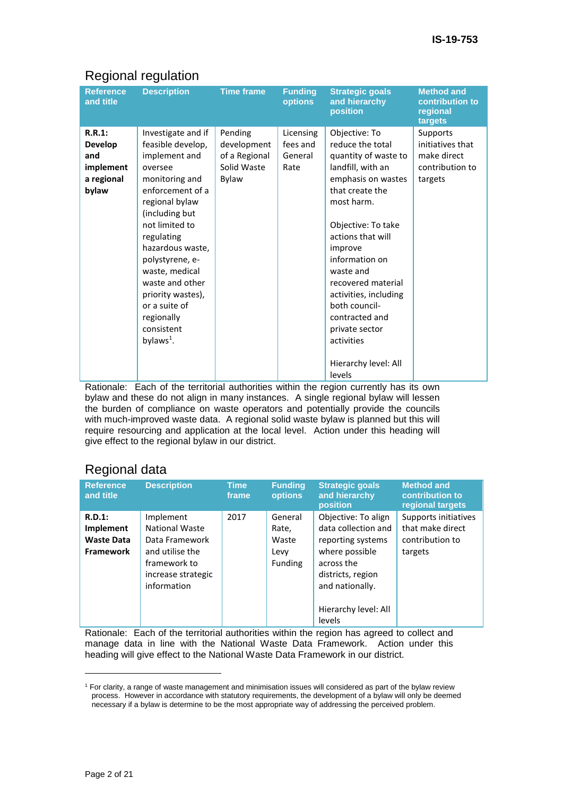## Regional regulation

| <b>Reference</b><br>and title                                       | <b>Description</b>                                                                                                                                                                                                                                                                                                                           | <b>Time frame</b>                                               | <b>Funding</b><br><b>options</b>         | <b>Strategic goals</b><br>and hierarchy<br>position                                                                                                                                                                                                                                                                                                                            | <b>Method and</b><br>contribution to<br>regional<br>targets                      |
|---------------------------------------------------------------------|----------------------------------------------------------------------------------------------------------------------------------------------------------------------------------------------------------------------------------------------------------------------------------------------------------------------------------------------|-----------------------------------------------------------------|------------------------------------------|--------------------------------------------------------------------------------------------------------------------------------------------------------------------------------------------------------------------------------------------------------------------------------------------------------------------------------------------------------------------------------|----------------------------------------------------------------------------------|
| R.R.1:<br><b>Develop</b><br>and<br>implement<br>a regional<br>bylaw | Investigate and if<br>feasible develop,<br>implement and<br>oversee<br>monitoring and<br>enforcement of a<br>regional bylaw<br>(including but<br>not limited to<br>regulating<br>hazardous waste,<br>polystyrene, e-<br>waste, medical<br>waste and other<br>priority wastes),<br>or a suite of<br>regionally<br>consistent<br>bylaws $^1$ . | Pending<br>development<br>of a Regional<br>Solid Waste<br>Bylaw | Licensing<br>fees and<br>General<br>Rate | Objective: To<br>reduce the total<br>quantity of waste to<br>landfill, with an<br>emphasis on wastes<br>that create the<br>most harm.<br>Objective: To take<br>actions that will<br>improve<br>information on<br>waste and<br>recovered material<br>activities, including<br>both council-<br>contracted and<br>private sector<br>activities<br>Hierarchy level: All<br>levels | <b>Supports</b><br>initiatives that<br>make direct<br>contribution to<br>targets |

Rationale: Each of the territorial authorities within the region currently has its own bylaw and these do not align in many instances. A single regional bylaw will lessen the burden of compliance on waste operators and potentially provide the councils with much-improved waste data. A regional solid waste bylaw is planned but this will require resourcing and application at the local level. Action under this heading will give effect to the regional bylaw in our district.

## Regional data

| <b>Reference</b><br>and title                                   | <b>Description</b>                                                                                                           | <b>Time</b><br>frame | <b>Funding</b><br><b>options</b>                    | <b>Strategic goals</b><br>and hierarchy<br>position                                                                                     | <b>Method and</b><br>contribution to<br>regional targets               |
|-----------------------------------------------------------------|------------------------------------------------------------------------------------------------------------------------------|----------------------|-----------------------------------------------------|-----------------------------------------------------------------------------------------------------------------------------------------|------------------------------------------------------------------------|
| $R.D.1$ :<br>Implement<br><b>Waste Data</b><br><b>Framework</b> | Implement<br><b>National Waste</b><br>Data Framework<br>and utilise the<br>framework to<br>increase strategic<br>information | 2017                 | General<br>Rate,<br>Waste<br>Levy<br><b>Funding</b> | Objective: To align<br>data collection and<br>reporting systems<br>where possible<br>across the<br>districts, region<br>and nationally. | Supports initiatives<br>that make direct<br>contribution to<br>targets |
|                                                                 |                                                                                                                              |                      |                                                     | Hierarchy level: All<br>levels                                                                                                          |                                                                        |

Rationale: Each of the territorial authorities within the region has agreed to collect and manage data in line with the National Waste Data Framework. Action under this heading will give effect to the National Waste Data Framework in our district.

<sup>1</sup> For clarity, a range of waste management and minimisation issues will considered as part of the bylaw review process. However in accordance with statutory requirements, the development of a bylaw will only be deemed necessary if a bylaw is determine to be the most appropriate way of addressing the perceived problem.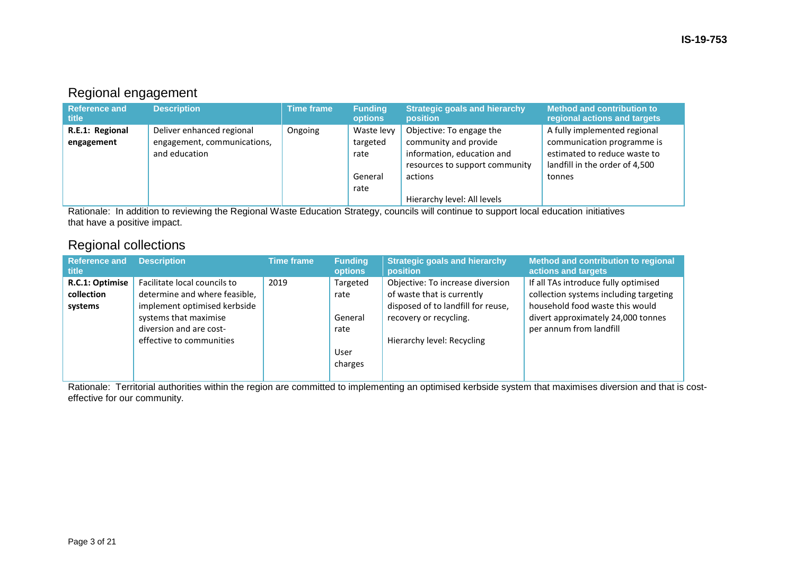## Regional engagement

| <b>Reference and</b><br>title | <b>Description</b>          | <b>Time frame</b> | <b>Funding</b><br>options | Strategic goals and hierarchy<br>position | <b>Method and contribution to</b><br>regional actions and targets |
|-------------------------------|-----------------------------|-------------------|---------------------------|-------------------------------------------|-------------------------------------------------------------------|
| R.E.1: Regional               | Deliver enhanced regional   | Ongoing           | Waste levy                | Objective: To engage the                  | A fully implemented regional                                      |
| engagement                    | engagement, communications, |                   | targeted                  | community and provide                     | communication programme is                                        |
|                               | and education               |                   | rate                      | information, education and                | estimated to reduce waste to                                      |
|                               |                             |                   |                           | resources to support community            | landfill in the order of 4,500                                    |
|                               |                             |                   | General                   | actions                                   | tonnes                                                            |
|                               |                             |                   | rate                      |                                           |                                                                   |
|                               |                             |                   |                           | Hierarchy level: All levels               |                                                                   |

Rationale: In addition to reviewing the Regional Waste Education Strategy, councils will continue to support local education initiatives that have a positive impact.

## Regional collections

| <b>Reference and</b><br>title            | <b>Description</b>                                                                                                                                                            | <b>Time frame</b> | <b>Funding</b><br><b>options</b>                       | <b>Strategic goals and hierarchy</b><br>position                                                                                                             | Method and contribution to regional<br>actions and targets                                                                                                                         |
|------------------------------------------|-------------------------------------------------------------------------------------------------------------------------------------------------------------------------------|-------------------|--------------------------------------------------------|--------------------------------------------------------------------------------------------------------------------------------------------------------------|------------------------------------------------------------------------------------------------------------------------------------------------------------------------------------|
| R.C.1: Optimise<br>collection<br>systems | Facilitate local councils to<br>determine and where feasible,<br>implement optimised kerbside<br>systems that maximise<br>diversion and are cost-<br>effective to communities | 2019              | Targeted<br>rate<br>General<br>rate<br>User<br>charges | Objective: To increase diversion<br>of waste that is currently<br>disposed of to landfill for reuse,<br>recovery or recycling.<br>Hierarchy level: Recycling | If all TAs introduce fully optimised<br>collection systems including targeting<br>household food waste this would<br>divert approximately 24,000 tonnes<br>per annum from landfill |

Rationale: Territorial authorities within the region are committed to implementing an optimised kerbside system that maximises diversion and that is costeffective for our community.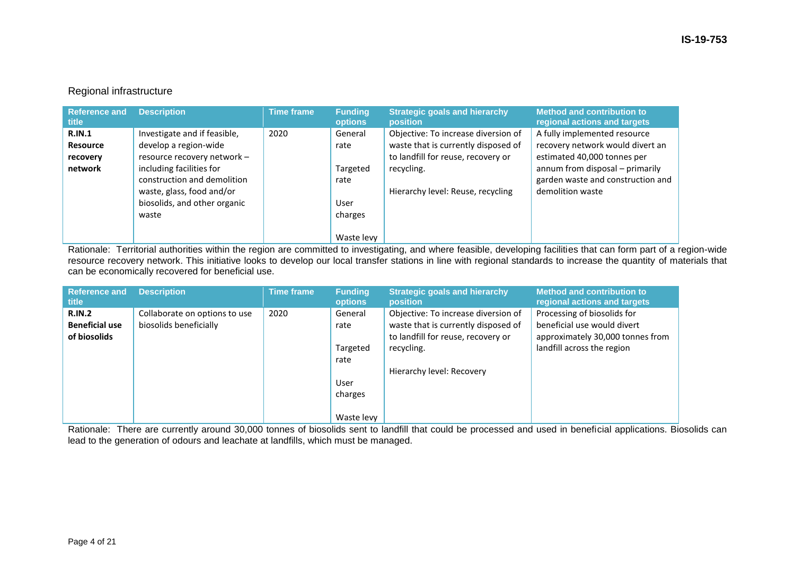### Regional infrastructure

| <b>Reference and</b><br><b>title</b>                             | <b>Description</b>                                                                                                                                                                                           | <b>Time frame</b> | <b>Funding</b><br><b>options</b>                                     | <b>Strategic goals and hierarchy</b><br><b>position</b>                                                                                                             | Method and contribution to<br>regional actions and targets                                                                                                                                  |
|------------------------------------------------------------------|--------------------------------------------------------------------------------------------------------------------------------------------------------------------------------------------------------------|-------------------|----------------------------------------------------------------------|---------------------------------------------------------------------------------------------------------------------------------------------------------------------|---------------------------------------------------------------------------------------------------------------------------------------------------------------------------------------------|
| <b>R.IN.1</b><br><b>Resource</b><br>recovery<br>network<br>waste | Investigate and if feasible,<br>develop a region-wide<br>resource recovery network -<br>including facilities for<br>construction and demolition<br>waste, glass, food and/or<br>biosolids, and other organic | 2020              | General<br>rate<br>Targeted<br>rate<br>User<br>charges<br>Waste levy | Objective: To increase diversion of<br>waste that is currently disposed of<br>to landfill for reuse, recovery or<br>recycling.<br>Hierarchy level: Reuse, recycling | A fully implemented resource<br>recovery network would divert an<br>estimated 40,000 tonnes per<br>annum from disposal - primarily<br>garden waste and construction and<br>demolition waste |

Rationale: Territorial authorities within the region are committed to investigating, and where feasible, developing facilities that can form part of a region-wide resource recovery network. This initiative looks to develop our local transfer stations in line with regional standards to increase the quantity of materials that can be economically recovered for beneficial use.

| <b>Reference and</b><br>title                          | <b>Description</b>                                      | <b>Time frame</b> | <b>Funding</b><br>options                                            | <b>Strategic goals and hierarchy</b><br><b>position</b>                                                                                                     | <b>Method and contribution to</b><br>regional actions and targets                                                            |
|--------------------------------------------------------|---------------------------------------------------------|-------------------|----------------------------------------------------------------------|-------------------------------------------------------------------------------------------------------------------------------------------------------------|------------------------------------------------------------------------------------------------------------------------------|
| <b>R.IN.2</b><br><b>Beneficial use</b><br>of biosolids | Collaborate on options to use<br>biosolids beneficially | 2020              | General<br>rate<br>Targeted<br>rate<br>User<br>charges<br>Waste levy | Objective: To increase diversion of<br>waste that is currently disposed of<br>to landfill for reuse, recovery or<br>recycling.<br>Hierarchy level: Recovery | Processing of biosolids for<br>beneficial use would divert<br>approximately 30,000 tonnes from<br>landfill across the region |

Rationale: There are currently around 30,000 tonnes of biosolids sent to landfill that could be processed and used in beneficial applications. Biosolids can lead to the generation of odours and leachate at landfills, which must be managed.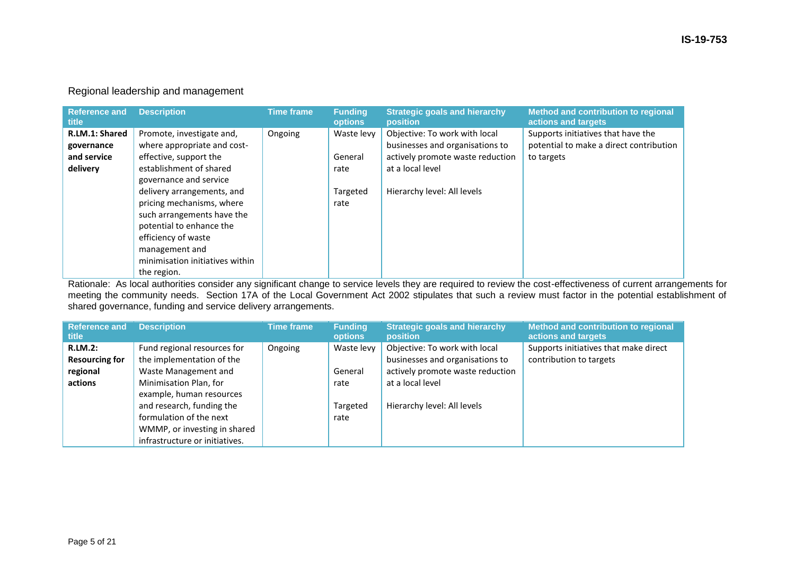| <b>Reference and</b><br>title | <b>Description</b>              | <b>Time frame</b> | <b>Funding</b><br><b>options</b> | <b>Strategic goals and hierarchy</b><br><b>position</b> | Method and contribution to regional<br>actions and targets |
|-------------------------------|---------------------------------|-------------------|----------------------------------|---------------------------------------------------------|------------------------------------------------------------|
| R.LM.1: Shared                | Promote, investigate and,       | Ongoing           | Waste levy                       | Objective: To work with local                           | Supports initiatives that have the                         |
| governance                    | where appropriate and cost-     |                   |                                  | businesses and organisations to                         | potential to make a direct contribution                    |
| and service                   | effective, support the          |                   | General                          | actively promote waste reduction                        | to targets                                                 |
| delivery                      | establishment of shared         |                   | rate                             | at a local level                                        |                                                            |
|                               | governance and service          |                   |                                  |                                                         |                                                            |
|                               | delivery arrangements, and      |                   | Targeted                         | Hierarchy level: All levels                             |                                                            |
|                               | pricing mechanisms, where       |                   | rate                             |                                                         |                                                            |
|                               | such arrangements have the      |                   |                                  |                                                         |                                                            |
|                               | potential to enhance the        |                   |                                  |                                                         |                                                            |
|                               | efficiency of waste             |                   |                                  |                                                         |                                                            |
|                               | management and                  |                   |                                  |                                                         |                                                            |
|                               | minimisation initiatives within |                   |                                  |                                                         |                                                            |
|                               | the region.                     |                   |                                  |                                                         |                                                            |

Regional leadership and management

Rationale: As local authorities consider any significant change to service levels they are required to review the cost-effectiveness of current arrangements for meeting the community needs. Section 17A of the Local Government Act 2002 stipulates that such a review must factor in the potential establishment of shared governance, funding and service delivery arrangements.

| <b>Reference and</b><br><b>title</b> | <b>Description</b>             | <b>Time frame</b> | <b>Funding</b><br><b>options</b> | <b>Strategic goals and hierarchy</b><br><b>position</b> | Method and contribution to regional<br>actions and targets |
|--------------------------------------|--------------------------------|-------------------|----------------------------------|---------------------------------------------------------|------------------------------------------------------------|
| <b>R.LM.2:</b>                       | Fund regional resources for    | Ongoing           | Waste levy                       | Objective: To work with local                           | Supports initiatives that make direct                      |
| <b>Resourcing for</b>                | the implementation of the      |                   |                                  | businesses and organisations to                         | contribution to targets                                    |
| regional                             | Waste Management and           |                   | General                          | actively promote waste reduction                        |                                                            |
| actions                              | Minimisation Plan, for         |                   | rate                             | at a local level                                        |                                                            |
|                                      | example, human resources       |                   |                                  |                                                         |                                                            |
|                                      | and research, funding the      |                   | Targeted                         | Hierarchy level: All levels                             |                                                            |
|                                      | formulation of the next        |                   | rate                             |                                                         |                                                            |
|                                      | WMMP, or investing in shared   |                   |                                  |                                                         |                                                            |
|                                      | infrastructure or initiatives. |                   |                                  |                                                         |                                                            |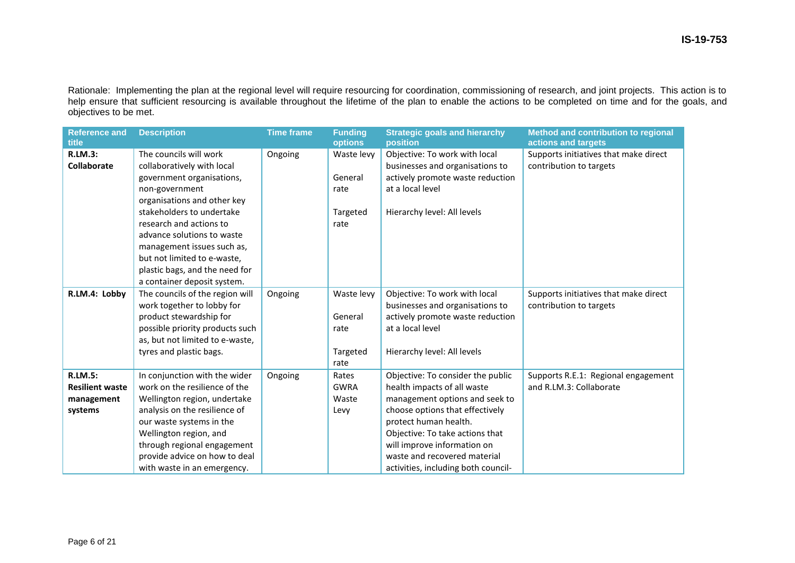Rationale: Implementing the plan at the regional level will require resourcing for coordination, commissioning of research, and joint projects. This action is to help ensure that sufficient resourcing is available throughout the lifetime of the plan to enable the actions to be completed on time and for the goals, and objectives to be met.

| <b>Reference and</b><br>title                                     | <b>Description</b>                                                                                                                                                                                                                                                                                                      | <b>Time frame</b> | <b>Funding</b><br>options                         | <b>Strategic goals and hierarchy</b><br>position                                                                                                                                                                                                                                                        | Method and contribution to regional<br>actions and targets       |
|-------------------------------------------------------------------|-------------------------------------------------------------------------------------------------------------------------------------------------------------------------------------------------------------------------------------------------------------------------------------------------------------------------|-------------------|---------------------------------------------------|---------------------------------------------------------------------------------------------------------------------------------------------------------------------------------------------------------------------------------------------------------------------------------------------------------|------------------------------------------------------------------|
| <b>R.LM.3:</b><br>Collaborate                                     | The councils will work<br>collaboratively with local<br>government organisations,<br>non-government<br>organisations and other key<br>stakeholders to undertake<br>research and actions to<br>advance solutions to waste<br>management issues such as,<br>but not limited to e-waste,<br>plastic bags, and the need for | Ongoing           | Waste levy<br>General<br>rate<br>Targeted<br>rate | Objective: To work with local<br>businesses and organisations to<br>actively promote waste reduction<br>at a local level<br>Hierarchy level: All levels                                                                                                                                                 | Supports initiatives that make direct<br>contribution to targets |
| R.LM.4: Lobby                                                     | a container deposit system.<br>The councils of the region will<br>work together to lobby for<br>product stewardship for<br>possible priority products such<br>as, but not limited to e-waste,<br>tyres and plastic bags.                                                                                                | Ongoing           | Waste levy<br>General<br>rate<br>Targeted<br>rate | Objective: To work with local<br>businesses and organisations to<br>actively promote waste reduction<br>at a local level<br>Hierarchy level: All levels                                                                                                                                                 | Supports initiatives that make direct<br>contribution to targets |
| <b>R.LM.5:</b><br><b>Resilient waste</b><br>management<br>systems | In conjunction with the wider<br>work on the resilience of the<br>Wellington region, undertake<br>analysis on the resilience of<br>our waste systems in the<br>Wellington region, and<br>through regional engagement<br>provide advice on how to deal<br>with waste in an emergency.                                    | Ongoing           | Rates<br><b>GWRA</b><br>Waste<br>Levy             | Objective: To consider the public<br>health impacts of all waste<br>management options and seek to<br>choose options that effectively<br>protect human health.<br>Objective: To take actions that<br>will improve information on<br>waste and recovered material<br>activities, including both council- | Supports R.E.1: Regional engagement<br>and R.LM.3: Collaborate   |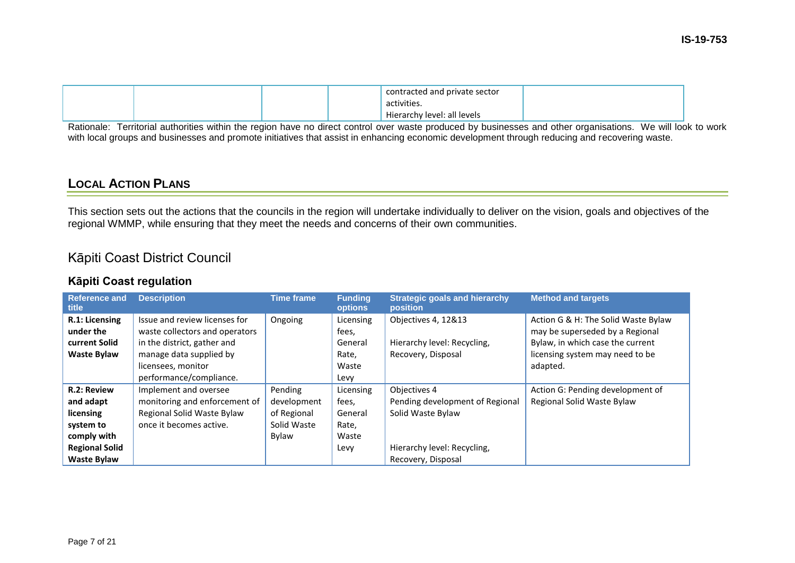|  |  | contracted and private sector |  |
|--|--|-------------------------------|--|
|  |  | activities.                   |  |
|  |  | Hierarchy level: all levels   |  |

Rationale: Territorial authorities within the region have no direct control over waste produced by businesses and other organisations. We will look to work with local groups and businesses and promote initiatives that assist in enhancing economic development through reducing and recovering waste.

## **LOCAL ACTION PLANS**

This section sets out the actions that the councils in the region will undertake individually to deliver on the vision, goals and objectives of the regional WMMP, while ensuring that they meet the needs and concerns of their own communities.

## Kāpiti Coast District Council

### **Kāpiti Coast regulation**

| <b>Reference and</b><br>title | <b>Description</b>             | <b>Time frame</b> | <b>Funding</b><br><b>options</b> | <b>Strategic goals and hierarchy</b><br>position | <b>Method and targets</b>           |
|-------------------------------|--------------------------------|-------------------|----------------------------------|--------------------------------------------------|-------------------------------------|
| R.1: Licensing                | Issue and review licenses for  | Ongoing           | Licensing                        | Objectives 4, 12&13                              | Action G & H: The Solid Waste Bylaw |
| under the                     | waste collectors and operators |                   | fees,                            |                                                  | may be superseded by a Regional     |
| current Solid                 | in the district, gather and    |                   | General                          | Hierarchy level: Recycling,                      | Bylaw, in which case the current    |
| <b>Waste Bylaw</b>            | manage data supplied by        |                   | Rate,                            | Recovery, Disposal                               | licensing system may need to be     |
|                               | licensees, monitor             |                   | Waste                            |                                                  | adapted.                            |
|                               | performance/compliance.        |                   | Levy                             |                                                  |                                     |
| R.2: Review                   | Implement and oversee          | Pending           | Licensing                        | Objectives 4                                     | Action G: Pending development of    |
| and adapt                     | monitoring and enforcement of  | development       | fees,                            | Pending development of Regional                  | Regional Solid Waste Bylaw          |
| licensing                     | Regional Solid Waste Bylaw     | of Regional       | General                          | Solid Waste Bylaw                                |                                     |
| system to                     | once it becomes active.        | Solid Waste       | Rate,                            |                                                  |                                     |
| comply with                   |                                | Bylaw             | Waste                            |                                                  |                                     |
| <b>Regional Solid</b>         |                                |                   | Levy                             | Hierarchy level: Recycling,                      |                                     |
| <b>Waste Bylaw</b>            |                                |                   |                                  | Recovery, Disposal                               |                                     |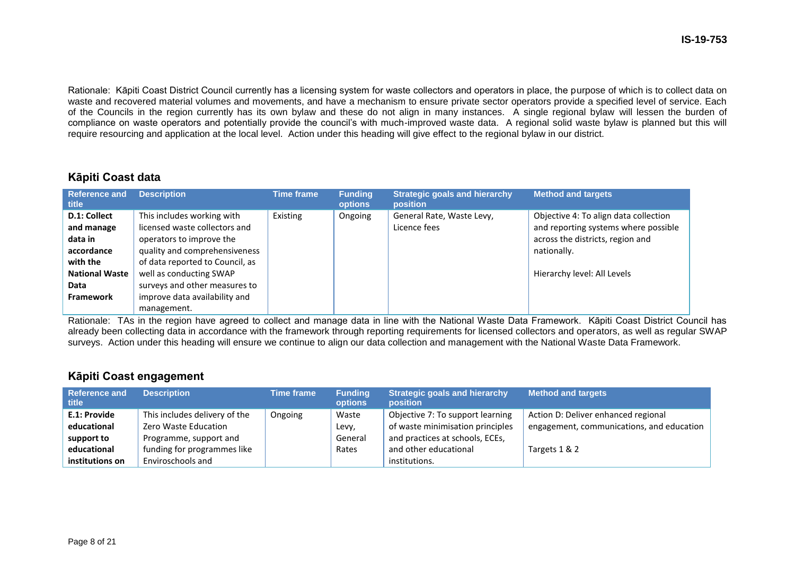Rationale: Kāpiti Coast District Council currently has a licensing system for waste collectors and operators in place, the purpose of which is to collect data on waste and recovered material volumes and movements, and have a mechanism to ensure private sector operators provide a specified level of service. Each of the Councils in the region currently has its own bylaw and these do not align in many instances. A single regional bylaw will lessen the burden of compliance on waste operators and potentially provide the council's with much-improved waste data. A regional solid waste bylaw is planned but this will require resourcing and application at the local level. Action under this heading will give effect to the regional bylaw in our district.

### **Kāpiti Coast data**

| <b>Reference and</b><br>title | <b>Description</b>              | <b>Time frame</b> | <b>Funding</b><br><b>options</b> | <b>Strategic goals and hierarchy</b><br><b>position</b> | <b>Method and targets</b>             |
|-------------------------------|---------------------------------|-------------------|----------------------------------|---------------------------------------------------------|---------------------------------------|
| D.1: Collect                  | This includes working with      | Existing          | Ongoing                          | General Rate, Waste Levy,                               | Objective 4: To align data collection |
| and manage                    | licensed waste collectors and   |                   |                                  | Licence fees                                            | and reporting systems where possible  |
| data in                       | operators to improve the        |                   |                                  |                                                         | across the districts, region and      |
| accordance                    | quality and comprehensiveness   |                   |                                  |                                                         | nationally.                           |
| with the                      | of data reported to Council, as |                   |                                  |                                                         |                                       |
| <b>National Waste</b>         | well as conducting SWAP         |                   |                                  |                                                         | Hierarchy level: All Levels           |
| Data                          | surveys and other measures to   |                   |                                  |                                                         |                                       |
| <b>Framework</b>              | improve data availability and   |                   |                                  |                                                         |                                       |
|                               | management.                     |                   |                                  |                                                         |                                       |

Rationale: TAs in the region have agreed to collect and manage data in line with the National Waste Data Framework. Kāpiti Coast District Council has already been collecting data in accordance with the framework through reporting requirements for licensed collectors and operators, as well as regular SWAP surveys. Action under this heading will ensure we continue to align our data collection and management with the National Waste Data Framework.

### **Kāpiti Coast engagement**

| <b>Reference and</b><br>title | <b>Description</b>            | <b>Time frame</b> | <b>Funding</b><br><b>options</b> | <b>Strategic goals and hierarchy</b><br>position | <b>Method and targets</b>                 |
|-------------------------------|-------------------------------|-------------------|----------------------------------|--------------------------------------------------|-------------------------------------------|
| E.1: Provide                  | This includes delivery of the | Ongoing           | Waste                            | Objective 7: To support learning                 | Action D: Deliver enhanced regional       |
| educational                   | Zero Waste Education          |                   | Levy,                            | of waste minimisation principles                 | engagement, communications, and education |
| support to                    | Programme, support and        |                   | General                          | and practices at schools, ECEs,                  |                                           |
| educational                   | funding for programmes like   |                   | Rates                            | and other educational                            | Targets 1 & 2                             |
| institutions on               | Enviroschools and             |                   |                                  | institutions.                                    |                                           |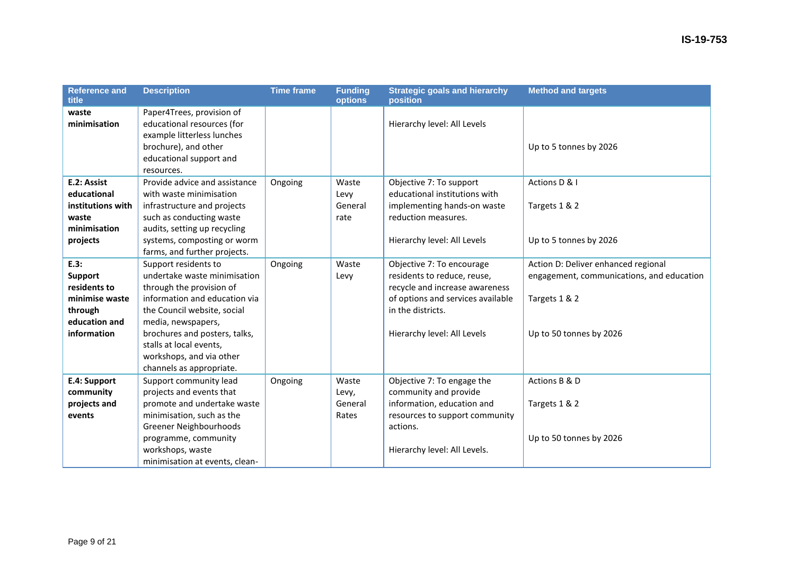| <b>Reference and</b><br>title                                                                       | <b>Description</b>                                                                                                                                                                                                                                                                         | <b>Time frame</b> | <b>Funding</b><br>options          | <b>Strategic goals and hierarchy</b><br>position                                                                                                                                    | <b>Method and targets</b>                                                                                                    |
|-----------------------------------------------------------------------------------------------------|--------------------------------------------------------------------------------------------------------------------------------------------------------------------------------------------------------------------------------------------------------------------------------------------|-------------------|------------------------------------|-------------------------------------------------------------------------------------------------------------------------------------------------------------------------------------|------------------------------------------------------------------------------------------------------------------------------|
| waste<br>minimisation                                                                               | Paper4Trees, provision of<br>educational resources (for<br>example litterless lunches<br>brochure), and other<br>educational support and<br>resources.                                                                                                                                     |                   |                                    | Hierarchy level: All Levels                                                                                                                                                         | Up to 5 tonnes by 2026                                                                                                       |
| E.2: Assist<br>educational<br>institutions with<br>waste<br>minimisation<br>projects                | Provide advice and assistance<br>with waste minimisation<br>infrastructure and projects<br>such as conducting waste<br>audits, setting up recycling<br>systems, composting or worm<br>farms, and further projects.                                                                         | Ongoing           | Waste<br>Levy<br>General<br>rate   | Objective 7: To support<br>educational institutions with<br>implementing hands-on waste<br>reduction measures.<br>Hierarchy level: All Levels                                       | Actions D & I<br>Targets 1 & 2<br>Up to 5 tonnes by 2026                                                                     |
| E.3:<br><b>Support</b><br>residents to<br>minimise waste<br>through<br>education and<br>information | Support residents to<br>undertake waste minimisation<br>through the provision of<br>information and education via<br>the Council website, social<br>media, newspapers,<br>brochures and posters, talks,<br>stalls at local events,<br>workshops, and via other<br>channels as appropriate. | Ongoing           | Waste<br>Levy                      | Objective 7: To encourage<br>residents to reduce, reuse,<br>recycle and increase awareness<br>of options and services available<br>in the districts.<br>Hierarchy level: All Levels | Action D: Deliver enhanced regional<br>engagement, communications, and education<br>Targets 1 & 2<br>Up to 50 tonnes by 2026 |
| E.4: Support<br>community<br>projects and<br>events                                                 | Support community lead<br>projects and events that<br>promote and undertake waste<br>minimisation, such as the<br>Greener Neighbourhoods<br>programme, community<br>workshops, waste<br>minimisation at events, clean-                                                                     | Ongoing           | Waste<br>Levy,<br>General<br>Rates | Objective 7: To engage the<br>community and provide<br>information, education and<br>resources to support community<br>actions.<br>Hierarchy level: All Levels.                     | Actions B & D<br>Targets 1 & 2<br>Up to 50 tonnes by 2026                                                                    |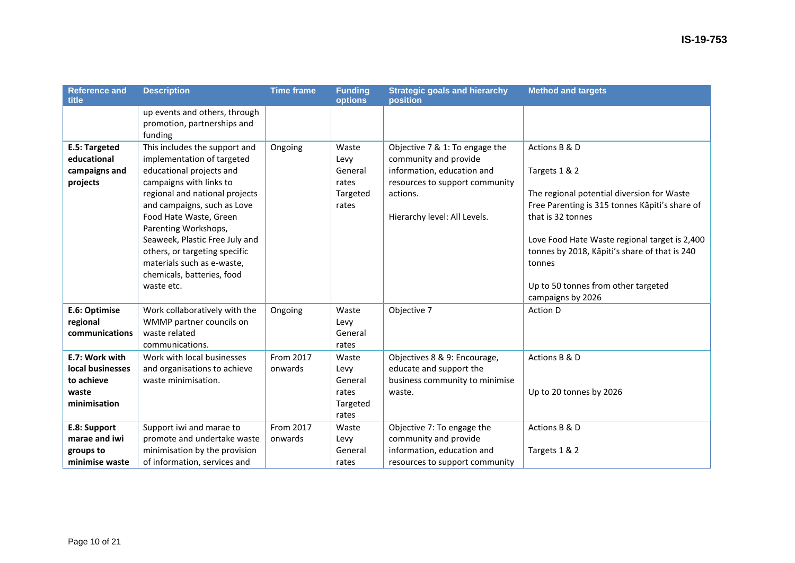| <b>Reference and</b><br>title                                             | <b>Description</b>                                                                                                                                                                                                                                                                                                                                                                 | <b>Time frame</b>    | <b>Funding</b><br>options                              | <b>Strategic goals and hierarchy</b><br>position                                                                                                                    | <b>Method and targets</b>                                                                                                                                                                                                                                                                                                   |
|---------------------------------------------------------------------------|------------------------------------------------------------------------------------------------------------------------------------------------------------------------------------------------------------------------------------------------------------------------------------------------------------------------------------------------------------------------------------|----------------------|--------------------------------------------------------|---------------------------------------------------------------------------------------------------------------------------------------------------------------------|-----------------------------------------------------------------------------------------------------------------------------------------------------------------------------------------------------------------------------------------------------------------------------------------------------------------------------|
|                                                                           | up events and others, through<br>promotion, partnerships and<br>funding                                                                                                                                                                                                                                                                                                            |                      |                                                        |                                                                                                                                                                     |                                                                                                                                                                                                                                                                                                                             |
| E.5: Targeted<br>educational<br>campaigns and<br>projects                 | This includes the support and<br>implementation of targeted<br>educational projects and<br>campaigns with links to<br>regional and national projects<br>and campaigns, such as Love<br>Food Hate Waste, Green<br>Parenting Workshops,<br>Seaweek, Plastic Free July and<br>others, or targeting specific<br>materials such as e-waste,<br>chemicals, batteries, food<br>waste etc. | Ongoing              | Waste<br>Levy<br>General<br>rates<br>Targeted<br>rates | Objective 7 & 1: To engage the<br>community and provide<br>information, education and<br>resources to support community<br>actions.<br>Hierarchy level: All Levels. | Actions B & D<br>Targets 1 & 2<br>The regional potential diversion for Waste<br>Free Parenting is 315 tonnes Kāpiti's share of<br>that is 32 tonnes<br>Love Food Hate Waste regional target is 2,400<br>tonnes by 2018, Kāpiti's share of that is 240<br>tonnes<br>Up to 50 tonnes from other targeted<br>campaigns by 2026 |
| E.6: Optimise<br>regional<br>communications                               | Work collaboratively with the<br>WMMP partner councils on<br>waste related<br>communications.                                                                                                                                                                                                                                                                                      | Ongoing              | Waste<br>Levy<br>General<br>rates                      | Objective 7                                                                                                                                                         | Action D                                                                                                                                                                                                                                                                                                                    |
| E.7: Work with<br>local businesses<br>to achieve<br>waste<br>minimisation | Work with local businesses<br>and organisations to achieve<br>waste minimisation.                                                                                                                                                                                                                                                                                                  | From 2017<br>onwards | Waste<br>Levy<br>General<br>rates<br>Targeted<br>rates | Objectives 8 & 9: Encourage,<br>educate and support the<br>business community to minimise<br>waste.                                                                 | Actions B & D<br>Up to 20 tonnes by 2026                                                                                                                                                                                                                                                                                    |
| E.8: Support<br>marae and iwi<br>groups to<br>minimise waste              | Support iwi and marae to<br>promote and undertake waste<br>minimisation by the provision<br>of information, services and                                                                                                                                                                                                                                                           | From 2017<br>onwards | Waste<br>Levy<br>General<br>rates                      | Objective 7: To engage the<br>community and provide<br>information, education and<br>resources to support community                                                 | Actions B & D<br>Targets 1 & 2                                                                                                                                                                                                                                                                                              |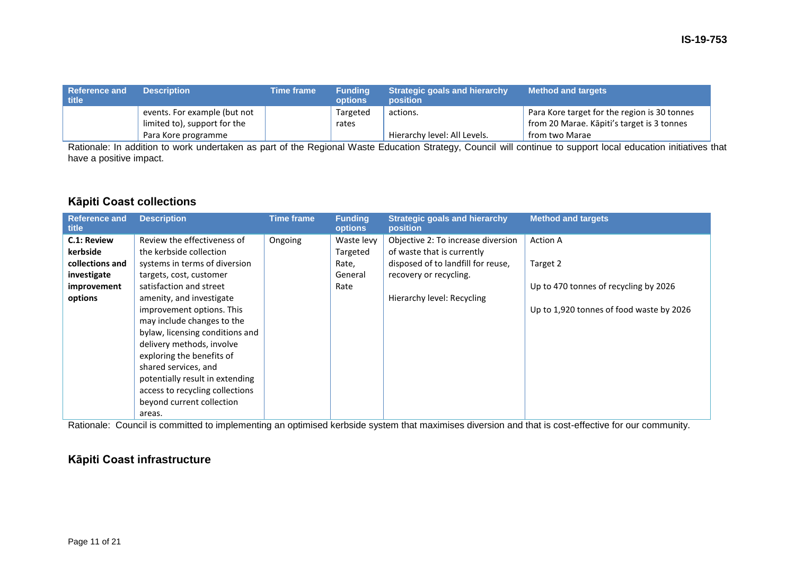| Reference and<br>title | <b>Description</b>           | Time frame | <b>Funding</b><br><b>options</b> | <b>Strategic goals and hierarchy</b><br><b>position</b> | <b>Method and targets</b>                    |
|------------------------|------------------------------|------------|----------------------------------|---------------------------------------------------------|----------------------------------------------|
|                        | events. For example (but not |            | Targeted                         | actions.                                                | Para Kore target for the region is 30 tonnes |
|                        | limited to), support for the |            | rates                            |                                                         | from 20 Marae. Kāpiti's target is 3 tonnes   |
|                        | Para Kore programme          |            |                                  | Hierarchy level: All Levels.                            | from two Marae                               |

Rationale: In addition to work undertaken as part of the Regional Waste Education Strategy, Council will continue to support local education initiatives that have a positive impact.

### **Kāpiti Coast collections**

| <b>Reference and</b><br>title | <b>Description</b>              | <b>Time frame</b> | <b>Funding</b><br><b>options</b> | <b>Strategic goals and hierarchy</b><br><b>position</b> | <b>Method and targets</b>                |
|-------------------------------|---------------------------------|-------------------|----------------------------------|---------------------------------------------------------|------------------------------------------|
| C.1: Review                   | Review the effectiveness of     | Ongoing           | Waste levy                       | Objective 2: To increase diversion                      | <b>Action A</b>                          |
| kerbside                      | the kerbside collection         |                   | Targeted                         | of waste that is currently                              |                                          |
| collections and               | systems in terms of diversion   |                   | Rate,                            | disposed of to landfill for reuse,                      | Target 2                                 |
| investigate                   | targets, cost, customer         |                   | General                          | recovery or recycling.                                  |                                          |
| improvement                   | satisfaction and street         |                   | Rate                             |                                                         | Up to 470 tonnes of recycling by 2026    |
| options                       | amenity, and investigate        |                   |                                  | Hierarchy level: Recycling                              |                                          |
|                               | improvement options. This       |                   |                                  |                                                         | Up to 1,920 tonnes of food waste by 2026 |
|                               | may include changes to the      |                   |                                  |                                                         |                                          |
|                               | bylaw, licensing conditions and |                   |                                  |                                                         |                                          |
|                               | delivery methods, involve       |                   |                                  |                                                         |                                          |
|                               | exploring the benefits of       |                   |                                  |                                                         |                                          |
|                               | shared services, and            |                   |                                  |                                                         |                                          |
|                               | potentially result in extending |                   |                                  |                                                         |                                          |
|                               | access to recycling collections |                   |                                  |                                                         |                                          |
|                               | beyond current collection       |                   |                                  |                                                         |                                          |
|                               | areas.                          |                   |                                  |                                                         |                                          |

Rationale: Council is committed to implementing an optimised kerbside system that maximises diversion and that is cost-effective for our community.

### **Kāpiti Coast infrastructure**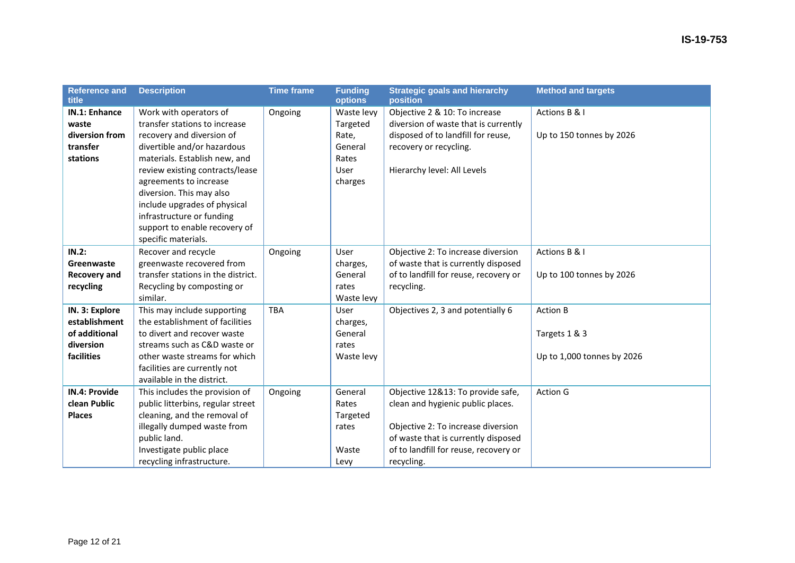| <b>Reference and</b><br>title                                               | <b>Description</b>                                                                                                                                                                                                                                                                                                                                                 | <b>Time frame</b> | <b>Funding</b><br>options                                                     | <b>Strategic goals and hierarchy</b><br>position                                                                                                                                                           | <b>Method and targets</b>                                      |
|-----------------------------------------------------------------------------|--------------------------------------------------------------------------------------------------------------------------------------------------------------------------------------------------------------------------------------------------------------------------------------------------------------------------------------------------------------------|-------------------|-------------------------------------------------------------------------------|------------------------------------------------------------------------------------------------------------------------------------------------------------------------------------------------------------|----------------------------------------------------------------|
| IN.1: Enhance<br>waste<br>diversion from<br>transfer<br>stations            | Work with operators of<br>transfer stations to increase<br>recovery and diversion of<br>divertible and/or hazardous<br>materials. Establish new, and<br>review existing contracts/lease<br>agreements to increase<br>diversion. This may also<br>include upgrades of physical<br>infrastructure or funding<br>support to enable recovery of<br>specific materials. | Ongoing           | Waste levy<br>Targeted<br>Rate,<br>General<br>Rates<br><b>User</b><br>charges | Objective 2 & 10: To increase<br>diversion of waste that is currently<br>disposed of to landfill for reuse,<br>recovery or recycling.<br>Hierarchy level: All Levels                                       | Actions B & I<br>Up to 150 tonnes by 2026                      |
| IN.2:<br>Greenwaste<br><b>Recovery and</b><br>recycling                     | Recover and recycle<br>greenwaste recovered from<br>transfer stations in the district.<br>Recycling by composting or<br>similar.                                                                                                                                                                                                                                   | Ongoing           | <b>User</b><br>charges,<br>General<br>rates<br>Waste levy                     | Objective 2: To increase diversion<br>of waste that is currently disposed<br>of to landfill for reuse, recovery or<br>recycling.                                                                           | Actions B & I<br>Up to 100 tonnes by 2026                      |
| IN. 3: Explore<br>establishment<br>of additional<br>diversion<br>facilities | This may include supporting<br>the establishment of facilities<br>to divert and recover waste<br>streams such as C&D waste or<br>other waste streams for which<br>facilities are currently not<br>available in the district.                                                                                                                                       | <b>TBA</b>        | <b>User</b><br>charges,<br>General<br>rates<br>Waste levy                     | Objectives 2, 3 and potentially 6                                                                                                                                                                          | <b>Action B</b><br>Targets 1 & 3<br>Up to 1,000 tonnes by 2026 |
| <b>IN.4: Provide</b><br>clean Public<br><b>Places</b>                       | This includes the provision of<br>public litterbins, regular street<br>cleaning, and the removal of<br>illegally dumped waste from<br>public land.<br>Investigate public place<br>recycling infrastructure.                                                                                                                                                        | Ongoing           | General<br>Rates<br>Targeted<br>rates<br>Waste<br>Levy                        | Objective 12&13: To provide safe,<br>clean and hygienic public places.<br>Objective 2: To increase diversion<br>of waste that is currently disposed<br>of to landfill for reuse, recovery or<br>recycling. | <b>Action G</b>                                                |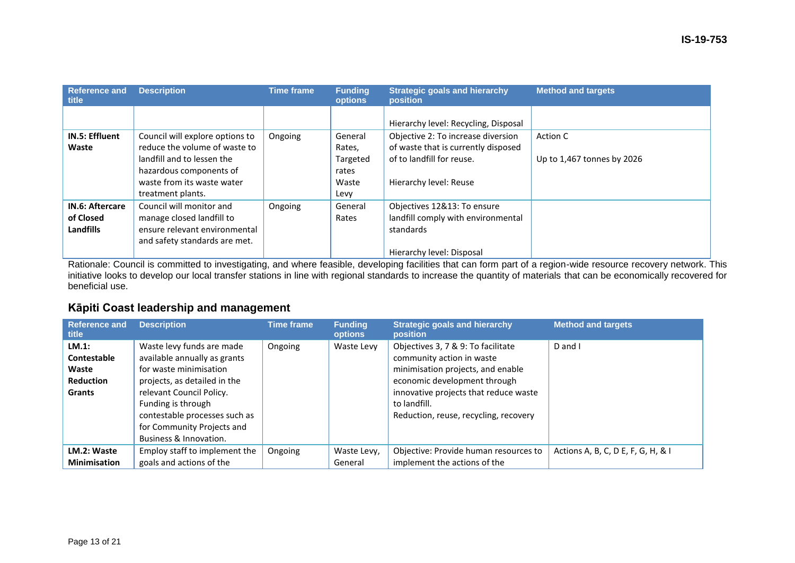| <b>Reference and</b><br>title                    | <b>Description</b>                                                                                                                                      | <b>Time frame</b> | <b>Funding</b><br>options                       | <b>Strategic goals and hierarchy</b><br>position                                                                                 | <b>Method and targets</b>              |
|--------------------------------------------------|---------------------------------------------------------------------------------------------------------------------------------------------------------|-------------------|-------------------------------------------------|----------------------------------------------------------------------------------------------------------------------------------|----------------------------------------|
|                                                  |                                                                                                                                                         |                   |                                                 | Hierarchy level: Recycling, Disposal                                                                                             |                                        |
| <b>IN.5: Effluent</b><br>Waste                   | Council will explore options to<br>reduce the volume of waste to<br>landfill and to lessen the<br>hazardous components of<br>waste from its waste water | Ongoing           | General<br>Rates,<br>Targeted<br>rates<br>Waste | Objective 2: To increase diversion<br>of waste that is currently disposed<br>of to landfill for reuse.<br>Hierarchy level: Reuse | Action C<br>Up to 1,467 tonnes by 2026 |
| <b>IN.6: Aftercare</b><br>of Closed<br>Landfills | treatment plants.<br>Council will monitor and<br>manage closed landfill to<br>ensure relevant environmental<br>and safety standards are met.            | Ongoing           | Levy<br>General<br>Rates                        | Objectives 12&13: To ensure<br>landfill comply with environmental<br>standards<br>Hierarchy level: Disposal                      |                                        |

Rationale: Council is committed to investigating, and where feasible, developing facilities that can form part of a region-wide resource recovery network. This initiative looks to develop our local transfer stations in line with regional standards to increase the quantity of materials that can be economically recovered for beneficial use.

### **Kāpiti Coast leadership and management**

| <b>Reference and</b><br>title                                      | <b>Description</b>                                                                                                                                                                                                                                             | <b>Time frame</b> | <b>Funding</b><br><b>options</b> | <b>Strategic goals and hierarchy</b><br><b>position</b>                                                                                                                                                                                | <b>Method and targets</b>          |
|--------------------------------------------------------------------|----------------------------------------------------------------------------------------------------------------------------------------------------------------------------------------------------------------------------------------------------------------|-------------------|----------------------------------|----------------------------------------------------------------------------------------------------------------------------------------------------------------------------------------------------------------------------------------|------------------------------------|
| LM.1:<br>Contestable<br>Waste<br><b>Reduction</b><br><b>Grants</b> | Waste levy funds are made<br>available annually as grants<br>for waste minimisation<br>projects, as detailed in the<br>relevant Council Policy.<br>Funding is through<br>contestable processes such as<br>for Community Projects and<br>Business & Innovation. | Ongoing           | Waste Levy                       | Objectives 3, 7 & 9: To facilitate<br>community action in waste<br>minimisation projects, and enable<br>economic development through<br>innovative projects that reduce waste<br>to landfill.<br>Reduction, reuse, recycling, recovery | D and I                            |
| LM.2: Waste<br><b>Minimisation</b>                                 | Employ staff to implement the<br>goals and actions of the                                                                                                                                                                                                      | Ongoing           | Waste Levy,<br>General           | Objective: Provide human resources to<br>implement the actions of the                                                                                                                                                                  | Actions A, B, C, D E, F, G, H, & I |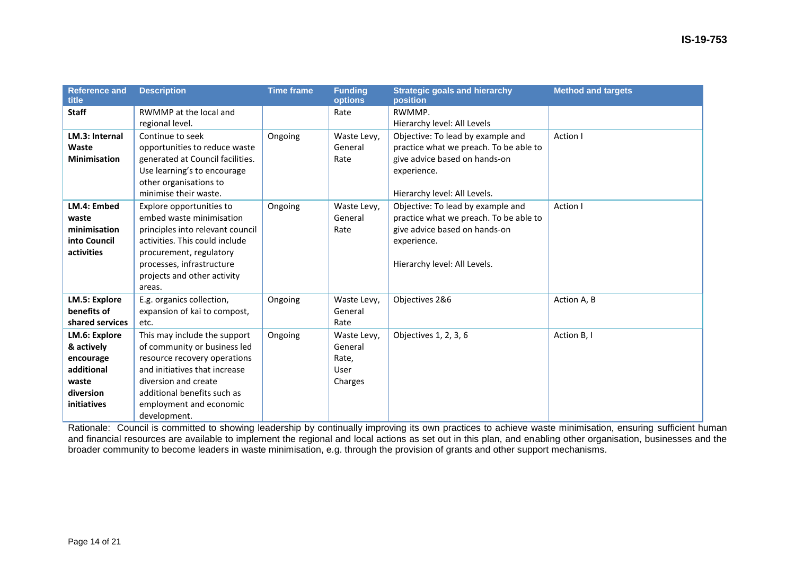| <b>Reference and</b><br>title | <b>Description</b>               | <b>Time frame</b> | <b>Funding</b><br>options | <b>Strategic goals and hierarchy</b><br>position | <b>Method and targets</b> |
|-------------------------------|----------------------------------|-------------------|---------------------------|--------------------------------------------------|---------------------------|
| <b>Staff</b>                  | RWMMP at the local and           |                   | Rate                      | RWMMP.                                           |                           |
|                               | regional level.                  |                   |                           | Hierarchy level: All Levels                      |                           |
| LM.3: Internal                | Continue to seek                 | Ongoing           | Waste Levy,               | Objective: To lead by example and                | Action I                  |
| Waste                         | opportunities to reduce waste    |                   | General                   | practice what we preach. To be able to           |                           |
| <b>Minimisation</b>           | generated at Council facilities. |                   | Rate                      | give advice based on hands-on                    |                           |
|                               | Use learning's to encourage      |                   |                           | experience.                                      |                           |
|                               | other organisations to           |                   |                           |                                                  |                           |
|                               | minimise their waste.            |                   |                           | Hierarchy level: All Levels.                     |                           |
| LM.4: Embed                   | Explore opportunities to         | Ongoing           | Waste Levy,               | Objective: To lead by example and                | Action I                  |
| waste                         | embed waste minimisation         |                   | General                   | practice what we preach. To be able to           |                           |
| minimisation                  | principles into relevant council |                   | Rate                      | give advice based on hands-on                    |                           |
| into Council                  | activities. This could include   |                   |                           | experience.                                      |                           |
| activities                    | procurement, regulatory          |                   |                           |                                                  |                           |
|                               | processes, infrastructure        |                   |                           | Hierarchy level: All Levels.                     |                           |
|                               | projects and other activity      |                   |                           |                                                  |                           |
|                               | areas.                           |                   |                           |                                                  |                           |
| LM.5: Explore                 | E.g. organics collection,        | Ongoing           | Waste Levy,               | Objectives 2&6                                   | Action A, B               |
| benefits of                   | expansion of kai to compost,     |                   | General                   |                                                  |                           |
| shared services               | etc.                             |                   | Rate                      |                                                  |                           |
| LM.6: Explore                 | This may include the support     | Ongoing           | Waste Levy,               | Objectives 1, 2, 3, 6                            | Action B, I               |
| & actively                    | of community or business led     |                   | General                   |                                                  |                           |
| encourage                     | resource recovery operations     |                   | Rate,                     |                                                  |                           |
| additional                    | and initiatives that increase    |                   | User                      |                                                  |                           |
| waste                         | diversion and create             |                   | Charges                   |                                                  |                           |
| diversion                     | additional benefits such as      |                   |                           |                                                  |                           |
| initiatives                   | employment and economic          |                   |                           |                                                  |                           |
|                               | development.                     |                   |                           |                                                  |                           |

Rationale: Council is committed to showing leadership by continually improving its own practices to achieve waste minimisation, ensuring sufficient human and financial resources are available to implement the regional and local actions as set out in this plan, and enabling other organisation, businesses and the broader community to become leaders in waste minimisation, e.g. through the provision of grants and other support mechanisms.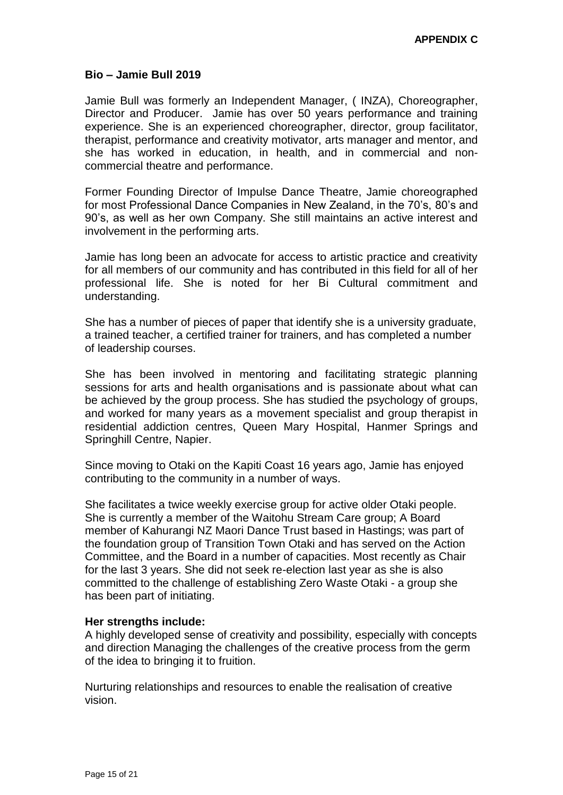### **Bio – Jamie Bull 2019**

Jamie Bull was formerly an Independent Manager, ( INZA), Choreographer, Director and Producer. Jamie has over 50 years performance and training experience. She is an experienced choreographer, director, group facilitator, therapist, performance and creativity motivator, arts manager and mentor, and she has worked in education, in health, and in commercial and noncommercial theatre and performance.

Former Founding Director of Impulse Dance Theatre, Jamie choreographed for most Professional Dance Companies in New Zealand, in the 70's, 80's and 90's, as well as her own Company. She still maintains an active interest and involvement in the performing arts.

Jamie has long been an advocate for access to artistic practice and creativity for all members of our community and has contributed in this field for all of her professional life. She is noted for her Bi Cultural commitment and understanding.

She has a number of pieces of paper that identify she is a university graduate, a trained teacher, a certified trainer for trainers, and has completed a number of leadership courses.

She has been involved in mentoring and facilitating strategic planning sessions for arts and health organisations and is passionate about what can be achieved by the group process. She has studied the psychology of groups, and worked for many years as a movement specialist and group therapist in residential addiction centres, Queen Mary Hospital, Hanmer Springs and Springhill Centre, Napier.

Since moving to Otaki on the Kapiti Coast 16 years ago, Jamie has enjoyed contributing to the community in a number of ways.

She facilitates a twice weekly exercise group for active older Otaki people. She is currently a member of the Waitohu Stream Care group; A Board member of Kahurangi NZ Maori Dance Trust based in Hastings; was part of the foundation group of Transition Town Otaki and has served on the Action Committee, and the Board in a number of capacities. Most recently as Chair for the last 3 years. She did not seek re-election last year as she is also committed to the challenge of establishing Zero Waste Otaki - a group she has been part of initiating.

### **Her strengths include:**

A highly developed sense of creativity and possibility, especially with concepts and direction Managing the challenges of the creative process from the germ of the idea to bringing it to fruition.

Nurturing relationships and resources to enable the realisation of creative vision.